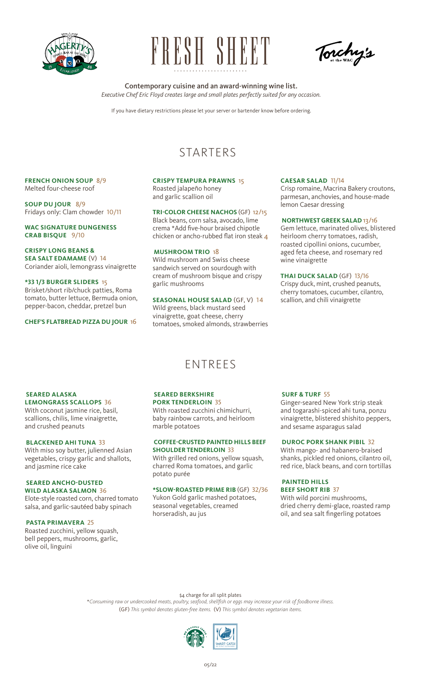

# BRSH SHEET

Torchy's

#### Contemporary cuisine and an award-winning wine list. *Executive Chef Eric Floyd creates large and small plates perfectly suited for any occasion.*

If you have dietary restrictions please let your server or bartender know before ordering.

# STARTERS

#### **FRENCH ONION SOUP** 8/9 Melted four-cheese roof

**SOUP DU JOUR** 8/9 Fridays only: Clam chowder 10/11

**WAC SIGNATURE DUNGENESS CRAB BISQUE** 9/10

#### **CRISPY LONG BEANS & SEA SALT EDAMAME** (V) 14

Coriander aioli, lemongrass vinaigrette

#### **\*33 1/3 BURGER SLIDERS** 15

Brisket/short rib/chuck patties, Roma tomato, butter lettuce, Bermuda onion, pepper-bacon, cheddar, pretzel bun

**CHEF'S FLATBREAD PIZZA DU JOUR** 16

#### **CRISPY TEMPURA PRAWNS** 15 Roasted jalapeño honey

and garlic scallion oil

#### **TRI-COLOR CHEESE NACHOS** (GF) 12/15

Black beans, corn salsa, avocado, lime crema \*Add five-hour braised chipotle chicken or ancho-rubbed flat iron steak 4

#### **MUSHROOM TRIO** 18

Wild mushroom and Swiss cheese sandwich served on sourdough with cream of mushroom bisque and crispy garlic mushrooms

**SEASONAL HOUSE SALAD** (GF, V) 14 Wild greens, black mustard seed vinaigrette, goat cheese, cherry tomatoes, smoked almonds, strawberries

#### **CAESAR SALAD** 11/14

Crisp romaine, Macrina Bakery croutons, parmesan, anchovies, and house-made lemon Caesar dressing

#### **NORTHWEST GREEK SALAD** 13/16

Gem lettuce, marinated olives, blistered heirloom cherry tomatoes, radish, roasted cipollini onions, cucumber, aged feta cheese, and rosemary red wine vinaigrette

#### **THAI DUCK SALAD** (GF) 13/16

Crispy duck, mint, crushed peanuts, cherry tomatoes, cucumber, cilantro, scallion, and chili vinaigrette

### ENTREES

#### **SEARED ALASKA**

**LEMONGRASS SCALLOPS** 36 With coconut jasmine rice, basil, scallions, chilis, lime vinaigrette, and crushed peanuts

#### **BLACKENED AHI TUNA** 33

With miso soy butter, julienned Asian vegetables, crispy garlic and shallots, and jasmine rice cake

#### **SEARED ANCHO-DUSTED**

**WILD ALASKA SALMON** 36 Elote-style roasted corn, charred tomato salsa, and garlic-sautéed baby spinach

#### **PASTA PRIMAVERA** 25

Roasted zucchini, yellow squash, bell peppers, mushrooms, garlic, olive oil, linguini

#### **SEARED BERKSHIRE**

**PORK TENDERLOIN** 35

With roasted zucchini chimichurri. baby rainbow carrots, and heirloom marble potatoes

#### **COFFEE-CRUSTED PAINTED HILLS BEEF SHOULDER TENDERLOIN** 33

With grilled red onions, yellow squash, charred Roma tomatoes, and garlic potato purée

#### **\*SLOW-ROASTED PRIME RIB** (GF) 32/36

Yukon Gold garlic mashed potatoes, seasonal vegetables, creamed horseradish, au jus

#### **SURF & TURF** 55

Ginger-seared New York strip steak and togarashi-spiced ahi tuna, ponzu vinaigrette, blistered shishito peppers, and sesame asparagus salad

#### **DUROC PORK SHANK PIBIL** 32

With mango- and habanero-braised shanks, pickled red onions, cilantro oil, red rice, black beans, and corn tortillas

#### **PAINTED HILLS BEEF SHORT RIB** 37

With wild porcini mushrooms, dried cherry demi-glace, roasted ramp oil, and sea salt fingerling potatoes

\$4 charge for all split plates

\**Consuming raw or undercooked meats, poultry, seafood, shellfish or eggs may increase your risk of foodborne illness.* (GF) *This symbol denotes gluten-free items.* (V) *This symbol denotes vegetarian items.*